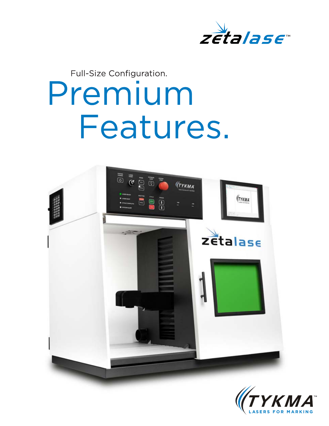

## Full-Size Configuration. Premium Features.



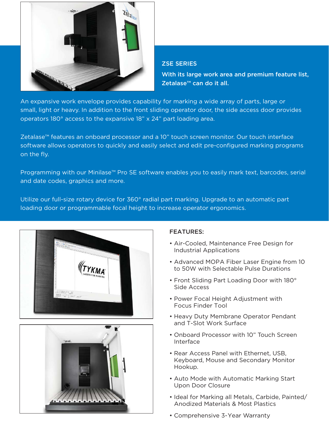

## ZSE SERIES

With its large work area and premium feature list, Zetalase™ can do it all.

An expansive work envelope provides capability for marking a wide array of parts, large or small, light or heavy. In addition to the front sliding operator door, the side access door provides operators 180° access to the expansive 18" x 24" part loading area.

Zetalase™ features an onboard processor and a 10" touch screen monitor. Our touch interface software allows operators to quickly and easily select and edit pre-configured marking programs on the fly.

Programming with our Minilase™ Pro SE software enables you to easily mark text, barcodes, serial and date codes, graphics and more.

Utilize our full-size rotary device for 360° radial part marking. Upgrade to an automatic part loading door or programmable focal height to increase operator ergonomics.





## FEATURES:

- Air-Cooled, Maintenance Free Design for Industrial Applications
- Advanced MOPA Fiber Laser Engine from 10 to 50W with Selectable Pulse Durations
- Front Sliding Part Loading Door with 180° Side Access
- Power Focal Height Adjustment with Focus Finder Tool
- Heavy Duty Membrane Operator Pendant and T-Slot Work Surface
- Onboard Processor with 10" Touch Screen Interface
- Rear Access Panel with Ethernet, USB, Keyboard, Mouse and Secondary Monitor Hookup.
- Auto Mode with Automatic Marking Start Upon Door Closure
- Ideal for Marking all Metals, Carbide, Painted/ Anodized Materials & Most Plastics
- Comprehensive 3-Year Warranty